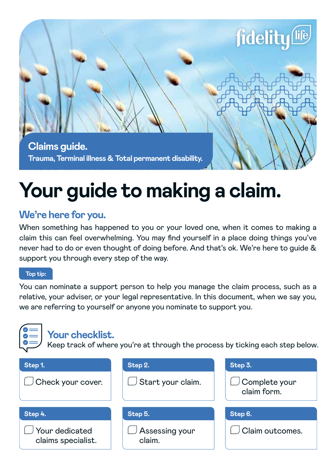

# **Your guide to making a claim.**

## **We're here for you.**

When something has happened to you or your loved one, when it comes to making a claim this can feel overwhelming. You may find yourself in a place doing things you've never had to do or even thought of doing before. And that's ok. We're here to guide & support you through every step of the way.

#### **Top tip:**

You can nominate a support person to help you manage the claim process, such as a relative, your adviser, or your legal representative. In this document, when we say you, we are referring to yourself or anyone you nominate to support you.

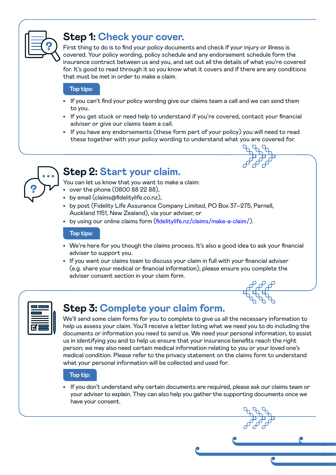

## **Step 1: Check your cover.**

First thing to do is to find your policy documents and check if your injury or illness is covered. Your policy wording, policy schedule and any endorsement schedule form the insurance contract between us and you, and set out all the details of what you're covered for. It's good to read through it so you know what it covers and if there are any conditions that must be met in order to make a claim.

#### **Top tips:**

- If you can't find your policy wording give our claims team a call and we can send them to you.
- If you get stuck or need help to understand if you're covered, contact your financial adviser or give our claims team a call.
- If you have any endorsements (these form part of your policy) you will need to read these together with your policy wording to understand what you are covered for.



## **Step 2: Start your claim.**

You can let us know that you want to make a claim:

- over the phone (0800 88 22 88),
- by email (claims@fidelitylife.co.nz),
- by post (Fidelity Life Assurance Company Limited, PO Box 37–275, Parnell, Auckland 1151, New Zealand), via your adviser, or
- by using our online claims form (fidelitylife.nz/claims/make-a-claim/).

#### **Top tips:**

- We're here for you though the claims process. It's also a good idea to ask your financial adviser to support you.
- If you want our claims team to discuss your claim in full with your financial adviser (e.g. share your medical or financial information), please ensure you complete the adviser consent section in your claim form.

## **Step 3: Complete your claim form.**

We'll send some claim forms for you to complete to give us all the necessary information to help us assess your claim. You'll receive a letter listing what we need you to do including the documents or information you need to send us. We need your personal information, to assist us in identifying you and to help us ensure that your insurance benefits reach the right person; we may also need certain medical information relating to you or your loved one's medical condition. Please refer to the privacy statement on the claims form to understand what your personal information will be collected and used for.

#### **Top tip:**

• If you don't understand why certain documents are required, please ask our claims team or your adviser to explain. They can also help you gather the supporting documents once we have your consent.